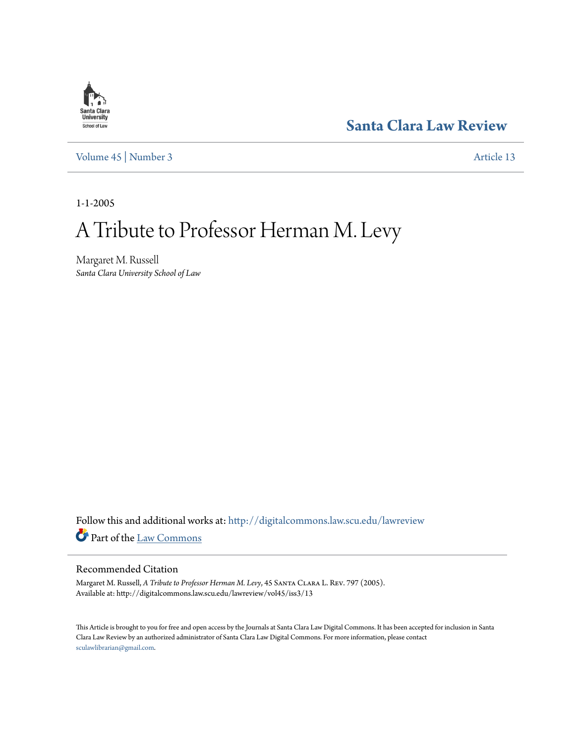# **Santa Clara**<br>**University** School of Law

[Volume 45](http://digitalcommons.law.scu.edu/lawreview/vol45?utm_source=digitalcommons.law.scu.edu%2Flawreview%2Fvol45%2Fiss3%2F13&utm_medium=PDF&utm_campaign=PDFCoverPages) | [Number 3](http://digitalcommons.law.scu.edu/lawreview/vol45/iss3?utm_source=digitalcommons.law.scu.edu%2Flawreview%2Fvol45%2Fiss3%2F13&utm_medium=PDF&utm_campaign=PDFCoverPages) [Article 13](http://digitalcommons.law.scu.edu/lawreview/vol45/iss3/13?utm_source=digitalcommons.law.scu.edu%2Flawreview%2Fvol45%2Fiss3%2F13&utm_medium=PDF&utm_campaign=PDFCoverPages)

# **[Santa Clara Law Review](http://digitalcommons.law.scu.edu/lawreview?utm_source=digitalcommons.law.scu.edu%2Flawreview%2Fvol45%2Fiss3%2F13&utm_medium=PDF&utm_campaign=PDFCoverPages)**

1-1-2005

# A Tribute to Professor Herman M. Levy

Margaret M. Russell *Santa Clara University School of Law*

Follow this and additional works at: [http://digitalcommons.law.scu.edu/lawreview](http://digitalcommons.law.scu.edu/lawreview?utm_source=digitalcommons.law.scu.edu%2Flawreview%2Fvol45%2Fiss3%2F13&utm_medium=PDF&utm_campaign=PDFCoverPages) Part of the [Law Commons](http://network.bepress.com/hgg/discipline/578?utm_source=digitalcommons.law.scu.edu%2Flawreview%2Fvol45%2Fiss3%2F13&utm_medium=PDF&utm_campaign=PDFCoverPages)

#### Recommended Citation

Margaret M. Russell, *A Tribute to Professor Herman M. Levy*, 45 Santa Clara L. Rev. 797 (2005). Available at: http://digitalcommons.law.scu.edu/lawreview/vol45/iss3/13

This Article is brought to you for free and open access by the Journals at Santa Clara Law Digital Commons. It has been accepted for inclusion in Santa Clara Law Review by an authorized administrator of Santa Clara Law Digital Commons. For more information, please contact [sculawlibrarian@gmail.com](mailto:sculawlibrarian@gmail.com).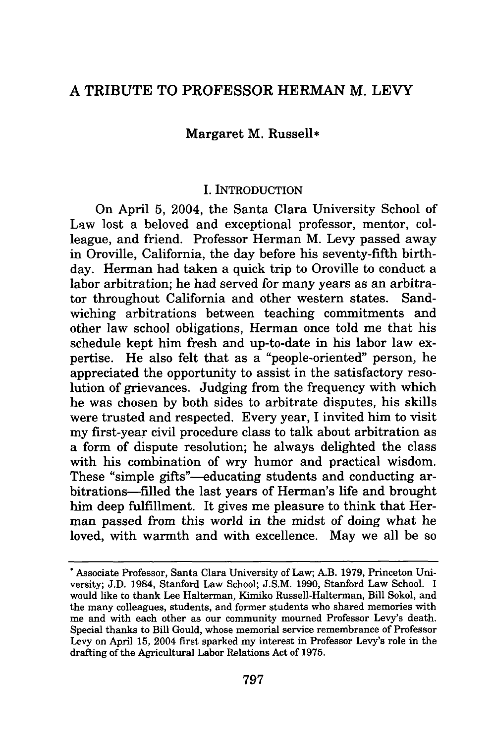# A TRIBUTE TO PROFESSOR HERMAN M. LEVY

#### Margaret M. Russell\*

#### I. INTRODUCTION

On April 5, 2004, the Santa Clara University School of Law lost a beloved and exceptional professor, mentor, colleague, and friend. Professor Herman M. Levy passed away in Oroville, California, the day before his seventy-fifth birthday. Herman had taken a quick trip to Oroville to conduct a labor arbitration; he had served for many years as an arbitrator throughout California and other western states. Sandwiching arbitrations between teaching commitments and other law school obligations, Herman once told me that his schedule kept him fresh and up-to-date in his labor law expertise. He also felt that as a "people-oriented" person, he appreciated the opportunity to assist in the satisfactory resolution of grievances. Judging from the frequency with which he was chosen by both sides to arbitrate disputes, his skills were trusted and respected. Every year, I invited him to visit my first-year civil procedure class to talk about arbitration as a form of dispute resolution; he always delighted the class with his combination of wry humor and practical wisdom. These "simple gifts"—educating students and conducting arbitrations-filled the last years of Herman's life and brought him deep fulfillment. It gives me pleasure to think that Herman passed from this world in the midst of doing what he loved, with warmth and with excellence. May we all be so

**<sup>\*</sup>** Associate Professor, Santa Clara University of Law; A.B. 1979, Princeton University; J.D. 1984, Stanford Law School; J.S.M. 1990, Stanford Law School. I would like to thank Lee Halterman, Kimiko Russell-Halterman, Bill Sokol, and the many colleagues, students, and former students who shared memories with me and with each other as our community mourned Professor Levy's death. Special thanks to Bill Gould, whose memorial service remembrance of Professor Levy on April 15, 2004 first sparked my interest in Professor Levy's role in the drafting of the Agricultural Labor Relations Act of 1975.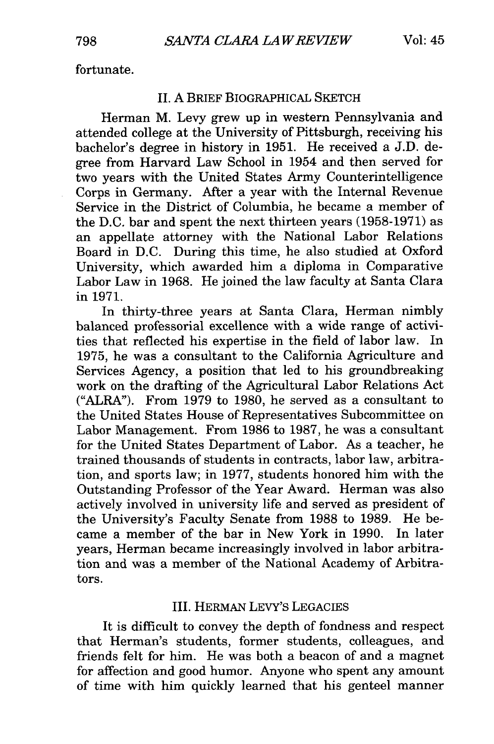fortunate.

#### II. A BRIEF BIOGRAPHICAL SKETCH

Herman M. Levy grew up in western Pennsylvania and attended college at the University of Pittsburgh, receiving his bachelor's degree in history in 1951. He received a J.D. degree from Harvard Law School in 1954 and then served for two years with the United States Army Counterintelligence Corps in Germany. After a year with the Internal Revenue Service in the District of Columbia, he became a member of the D.C. bar and spent the next thirteen years (1958-1971) as an appellate attorney with the National Labor Relations Board in D.C. During this time, he also studied at Oxford University, which awarded him a diploma in Comparative Labor Law in 1968. He joined the law faculty at Santa Clara in 1971.

In thirty-three years at Santa Clara, Herman nimbly balanced professorial excellence with a wide range of activities that reflected his expertise in the field of labor law. In 1975, he was a consultant to the California Agriculture and Services Agency, a position that led to his groundbreaking work on the drafting of the Agricultural Labor Relations Act ("ALRA"). From 1979 to 1980, he served as a consultant to the United States House of Representatives Subcommittee on Labor Management. From 1986 to 1987, he was a consultant for the United States Department of Labor. As a teacher, he trained thousands of students in contracts, labor law, arbitration, and sports law; in 1977, students honored him with the Outstanding Professor of the Year Award. Herman was also actively involved in university life and served as president of the University's Faculty Senate from 1988 to 1989. He became a member of the bar in New York in 1990. In later years, Herman became increasingly involved in labor arbitration and was a member of the National Academy of Arbitrators.

#### III. HERMAN LEVY'S LEGACIES

It is difficult to convey the depth of fondness and respect that Herman's students, former students, colleagues, and friends felt for him. He was both a beacon of and a magnet for affection and good humor. Anyone who spent any amount of time with him quickly learned that his genteel manner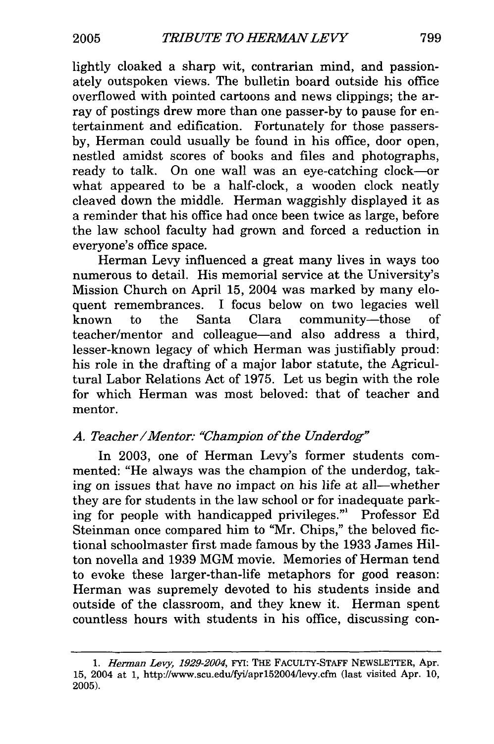lightly cloaked a sharp wit, contrarian mind, and passionately outspoken views. The bulletin board outside his office overflowed with pointed cartoons and news clippings; the array of postings drew more than one passer-by to pause for entertainment and edification. Fortunately for those passersby, Herman could usually be found in his office, door open, nestled amidst scores of books and files and photographs, ready to talk. On one wall was an eye-catching clock-or what appeared to be a half-clock, a wooden clock neatly cleaved down the middle. Herman waggishly displayed it as a reminder that his office had once been twice as large, before the law school faculty had grown and forced a reduction in everyone's office space.

Herman Levy influenced a great many lives in ways too numerous to detail. His memorial service at the University's Mission Church on April 15, 2004 was marked by many eloquent remembrances. I focus below on two legacies well known to the Santa Clara community-those of teacher/mentor and colleague-and also address a third, lesser-known legacy of which Herman was justifiably proud: his role in the drafting of a major labor statute, the Agricultural Labor Relations Act of 1975. Let us begin with the role for which Herman was most beloved: that of teacher and mentor.

# *A. Teacher/Mentor: "Champion of the Underdog"*

In **2003,** one of Herman Levy's former students commented: "He always was the champion of the underdog, taking on issues that have no impact on his life at all-whether they are for students in the law school or for inadequate parking for people with handicapped privileges."1 Professor **Ed** Steinman once compared him to "Mr. Chips," the beloved **fic**tional schoolmaster first made famous **by** the 1933 James Hilton novella and 1939 MGM movie. Memories of Herman tend to evoke these larger-than-life metaphors for good reason: Herman was supremely devoted to his students inside and outside of the classroom, and they knew it. Herman spent countless hours with students in his office, discussing con-

*<sup>1.</sup> Herman Levy, 1929-2004,* FYI: THE FACULTY-STAFF NEWSLETrER, Apr. 15, 2004 at 1, http://www.scu.edu/fyi/apr152004/levy.cfm (last visited Apr. 10, 2005).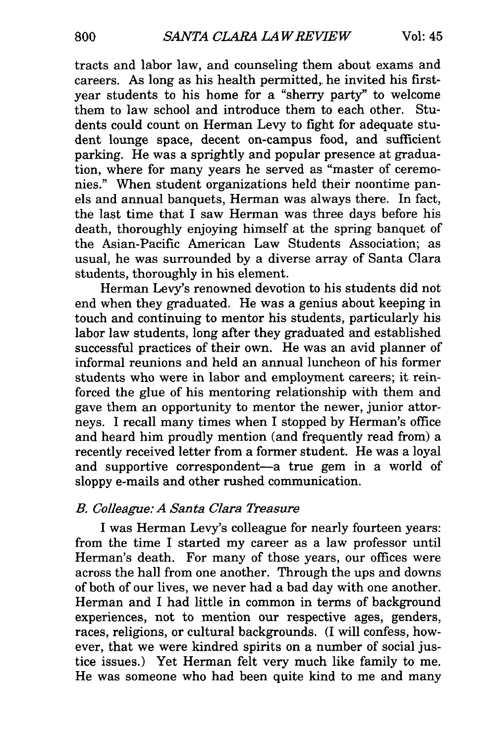tracts and labor law, and counseling them about exams and careers. As long as his health permitted,. he invited his firstyear students to his home for a "sherry party" to welcome them to law school and introduce them to each other. Students could count on Herman Levy to fight for adequate student lounge space, decent on-campus food, and sufficient parking. He was a sprightly and popular presence at graduation, where for many years he served as "master of ceremonies." When student organizations held their noontime panels and annual banquets, Herman was always there. In fact, the last time that  $\overline{I}$  saw Herman was three days before his death, thoroughly enjoying himself at the spring banquet of the Asian-Pacific American Law Students Association; as usual, he was surrounded by a diverse array of Santa Clara students, thoroughly in his element.

Herman Levy's renowned devotion to his students did not end when they graduated. He was a genius about keeping in touch and continuing to mentor his students, particularly his labor law students, long after they graduated and established successful practices of their own. He was an avid planner of informal reunions and held an annual luncheon of his former students who were in labor and employment careers; it reinforced the glue of his mentoring relationship with them and gave them an opportunity to mentor the newer, junior attorneys. I recall many times when I stopped by Herman's office and heard him proudly mention (and frequently read from) a recently received letter from a former student. He was a loyal and supportive correspondent-a true gem in a world of sloppy e-mails and other rushed communication.

### *B. Colleague: A Santa Clara Treasure*

I was Herman Levy's colleague for nearly fourteen years: from the time I started my career as a law professor until Herman's death. For many of those years, our offices were across the hall from one another. Through the ups and downs of both of our lives, we never had a bad day with one another. Herman and I had little in common in terms of background experiences, not to mention our respective ages, genders, races, religions, or cultural backgrounds. (I will confess, however, that we were kindred spirits on a number of social justice issues.) Yet Herman felt very much like family to me. He was someone who had been quite kind to me and many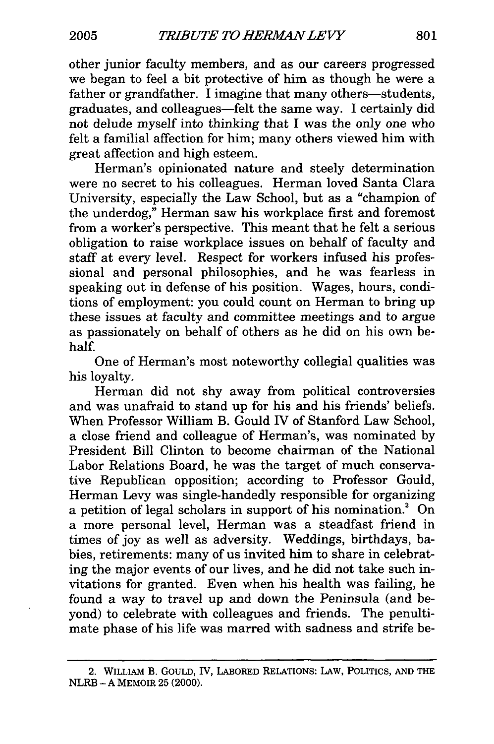other junior faculty members, and as our careers progressed we began to feel a bit protective of him as though he were a father or grandfather. I imagine that many others-students, graduates, and colleagues-felt the same way. I certainly did not delude myself into thinking that I was the only one who felt a familial affection for him; many others viewed him with great affection and high esteem.

Herman's opinionated nature and steely determination were no secret to his colleagues. Herman loved Santa Clara University, especially the Law School, but as a "champion of the underdog," Herman saw his workplace first and foremost from a worker's perspective. This meant that he felt a serious obligation to raise workplace issues on behalf of faculty and staff at every level. Respect for workers infused his professional and personal philosophies, and he was fearless in speaking out in defense of his position. Wages, hours, conditions of employment: you could count on Herman to bring up these issues at faculty and committee meetings and to argue as passionately on behalf of others as he did on his own behalf.

One of Herman's most noteworthy collegial qualities was his loyalty.

Herman did not shy away from political controversies and was unafraid to stand up for his and his friends' beliefs. When Professor William B. Gould IV of Stanford Law School, a close friend and colleague of Herman's, was nominated by President Bill Clinton to become chairman of the National Labor Relations Board, he was the target of much conservative Republican opposition; according to Professor Gould, Herman Levy was single-handedly responsible for organizing a petition of legal scholars in support of his nomination.<sup>2</sup> On a more personal level, Herman was a steadfast friend in times of joy as well as adversity. Weddings, birthdays, babies, retirements: many of us invited him to share in celebrating the major events of our lives, and he did not take such invitations for granted. Even when his health was failing, he found a way to travel up and down the Peninsula (and beyond) to celebrate with colleagues and friends. The penultimate phase of his life was marred with sadness and strife be-

**<sup>2.</sup>** WILLIAM **B.** GOULD, IV, LABORED RELATIONS: LAW, POLITICS, **AND** THE NLRB - **A** MEMOIR **25** (2000).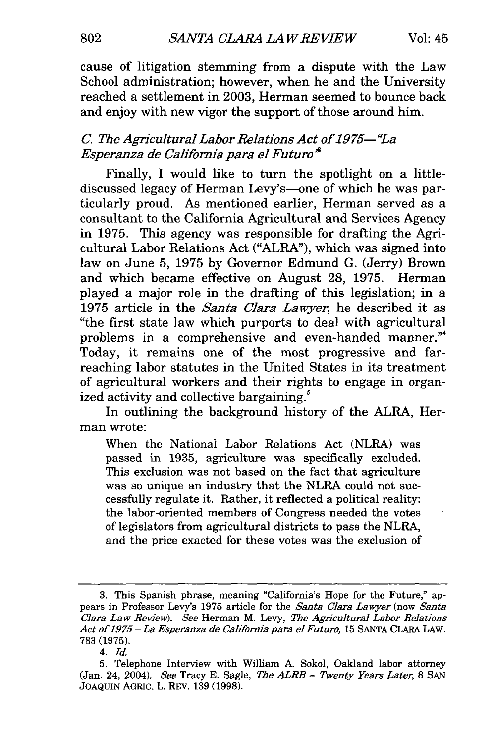cause of litigation stemming from a dispute with the Law School administration; however, when he and the University reached a settlement in 2003, Herman seemed to bounce back and enjoy with new vigor the support of those around him.

### *C. The Agricultural Labor Relations Act of 1975-"L a Esperanza de California para el Futuro*

Finally, I would like to turn the spotlight on a littlediscussed legacy of Herman Levy's-one of which he was particularly proud. As mentioned earlier, Herman served as a consultant to the California Agricultural and Services Agency in 1975. This agency was responsible for drafting the Agricultural Labor Relations Act ("ALRA"), which was signed into law on June 5, 1975 by Governor Edmund G. (Jerry) Brown and which became effective on August 28, 1975. Herman played a major role in the drafting of this legislation; in a 1975 article in the *Santa Clara Lawyer,* he described it as "the first state law which purports to deal with agricultural problems in a comprehensive and even-handed manner."<sup>4</sup> Today, it remains one of the most progressive and farreaching labor statutes in the United States in its treatment of agricultural workers and their rights to engage in organized activity and collective bargaining.<sup>5</sup>

In outlining the background history of the ALRA, Herman wrote:

When the National Labor Relations Act (NLRA) was passed in 1935, agriculture was specifically excluded. This exclusion was not based on the fact that agriculture was so unique an industry that the NLRA could not successfully regulate it. Rather, it reflected a political reality: the labor-oriented members of Congress needed the votes of legislators from agricultural districts to pass the NLRA, and the price exacted for these votes was the exclusion of

<sup>3.</sup> This Spanish phrase, meaning "California's Hope for the Future," appears in Professor Levy's 1975 article for the *Santa Clara Lawyer* (now *Santa Clara Law Review). See* Herman M. Levy, *The Agricultural Labor Relations Act of 1975- La Esperanza de California para el Futuro,* 15 SANTA CLARA LAW. 783 (1975).

<sup>4.</sup> *Id.*

<sup>5.</sup> Telephone Interview with William A. Sokol, Oakland labor attorney (Jan. 24, 2004). *See* Tracy E. Sagle, *The ALRB - Twenty Years Later,* 8 SAN JOAQUIN AGRIC. L. REV. 139 (1998).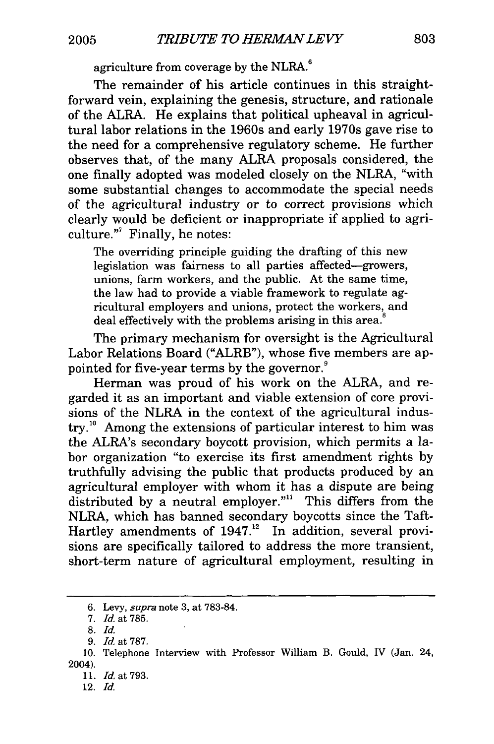agriculture from coverage by the NLRA.<sup>6</sup>

The remainder of his article continues in this straightforward vein, explaining the genesis, structure, and rationale of the ALRA. He explains that political upheaval in agricultural labor relations in the 1960s and early 1970s gave rise to the need for a comprehensive regulatory scheme. He further observes that, of the many ALRA proposals considered, the one finally adopted was modeled closely on the NLRA, "with some substantial changes to accommodate the special needs of the agricultural industry or to correct provisions which clearly would be deficient or inappropriate if applied to agriculture."<sup>7</sup> Finally, he notes:

The overriding principle guiding the drafting of this new legislation was fairness to all parties affected-growers, unions, farm workers, and the public. At the same time, the law had to provide a viable framework to regulate agricultural employers and unions, protect the workers, and deal effectively with the problems arising in this area.<sup>8</sup>

The primary mechanism for oversight is the Agricultural Labor Relations Board ("ALRB"), whose five members are appointed for five-year terms by the governor.

Herman was proud of his work on the ALRA, and regarded it as an important and viable extension of core provisions of the NLRA in the context of the agricultural industry.<sup>10</sup> Among the extensions of particular interest to him was the ALRA's secondary boycott provision, which permits a labor organization "to exercise its first amendment rights by truthfully advising the public that products produced by an agricultural employer with whom it has a dispute are being distributed by a neutral employer."<sup>11</sup> This differs from the NLRA, which has banned secondary boycotts since the Taft-Hartley amendments of 1947.<sup>12</sup> In addition, several provisions are specifically tailored to address the more transient, short-term nature of agricultural employment, resulting in

*<sup>6.</sup> Levy, supra* note 3, at 783-84.

*<sup>7.</sup> Id.* at 785.

<sup>8.</sup> *Id.*

*<sup>9.</sup> Id* at 787.

<sup>10.</sup> Telephone Interview with Professor William B. Gould, IV (Jan. 24, 2004).

<sup>11.</sup> *Id.* at 793.

<sup>12.</sup> *Id.*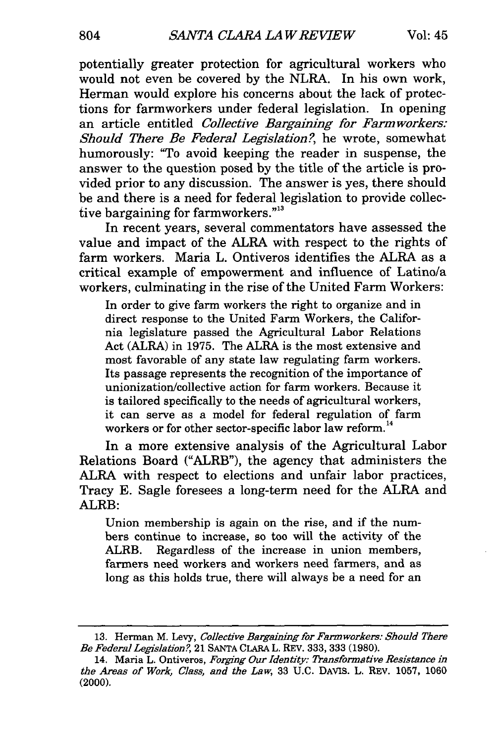potentially greater protection for agricultural workers who would not even be covered by the NLRA. In his own work, Herman would explore his concerns about the lack of protections for farmworkers under federal legislation. In opening an article entitled *Collective Bargaining for Farmworkers: Should There Be Federal Legislation?,* he wrote, somewhat humorously: "To avoid keeping the reader in suspense, the answer to the question posed by the title of the article is provided prior to any discussion. The answer is yes, there should be and there is a need for federal legislation to provide collective bargaining for farmworkers."<sup>13</sup>

In recent years, several commentators have assessed the value and impact of the ALRA with respect to the rights of farm workers. Maria L. Ontiveros identifies the ALRA as a critical example of empowerment and influence of Latino/a workers, culminating in the rise of the United Farm Workers:

In order to give farm workers the right to organize and in direct response to the United Farm Workers, the California legislature passed the Agricultural Labor Relations Act (ALRA) in 1975. The ALRA is the most extensive and most favorable of any state law regulating farm workers. Its passage represents the recognition of the importance of unionization/collective action for farm workers. Because it is tailored specifically to the needs of agricultural workers, it can serve as a model for federal regulation of farm workers or for other sector-specific labor law reform.<sup>14</sup>

In a more extensive analysis of the Agricultural Labor Relations Board ("ALRB"), the agency that administers the ALRA with respect to elections and unfair labor practices, Tracy E. Sagle foresees a long-term need for the ALRA and ALRB:

Union membership is again on the rise, and if the numbers continue to increase, so too will the activity of the ALRB. Regardless of the increase in union members, farmers need workers and workers need farmers, and as long as this holds true, there will always be a need for an

<sup>13.</sup> Herman M. Levy, *Collective Bargaining for Farm workers: Should There Be Federal Legislation* ?, 21 SANTA CLARA L. REV. 333, **333** (1980).

<sup>14.</sup> Maria L. Ontiveros, *Forging Our Identity: Transformative Resistance in the Areas of Work, Class, and the Law,* 33 **U.C. DAVIS.** L. REV. **1057, 1060** (2000).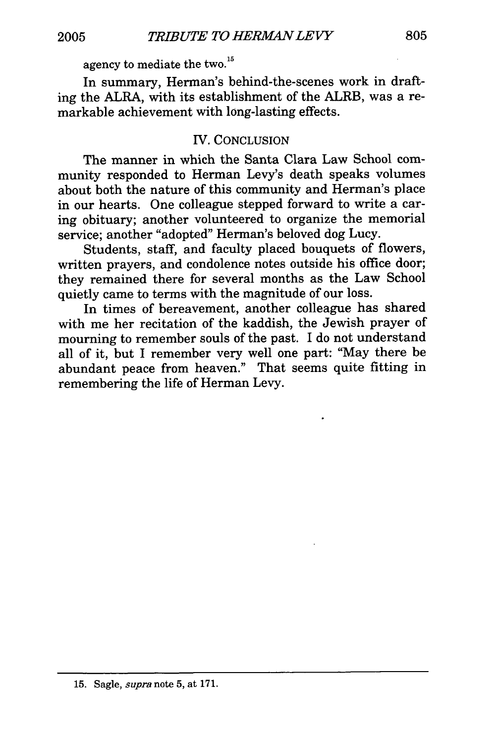agency to mediate the two.<sup>15</sup>

In summary, Herman's behind-the-scenes work in drafting the ALRA, with its establishment of the ALRB, was a remarkable achievement with long-lasting effects.

# IV. CONCLUSION

The manner in which the Santa Clara Law School community responded to Herman Levy's death speaks volumes about both the nature of this community and Herman's place in our hearts. One colleague stepped forward to write a caring obituary; another volunteered to organize the memorial service; another "adopted" Herman's beloved dog Lucy.

Students, staff, and faculty placed bouquets of flowers, written prayers, and condolence notes outside his office door; they remained there for several months as the Law School quietly came to terms with the magnitude of our loss.

In times of bereavement, another colleague has shared with me her recitation of the kaddish, the Jewish prayer of mourning to remember souls of the past. I do not understand all of it, but I remember very well one part: "May there be abundant peace from heaven." That seems quite fitting in remembering the life of Herman Levy.